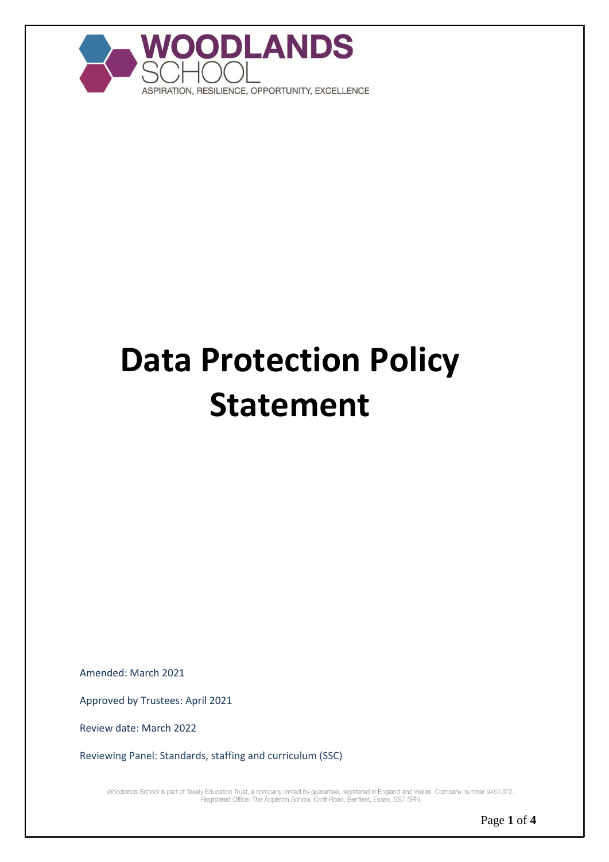

# **Data Protection Policy Statement**

Amended: March 2021

Approved by Trustees: April 2021

Review date: March 2022

Reviewing Panel: Standards, staffing and curriculum (SSC)

Woodlands School is part of Takely Education Trust, a company limited by guarantee, registered in England and Wales. Company number 9451372.<br>Registered Office: The Appleton School, Croft Road, Benfleet, Essex, SS7 5RN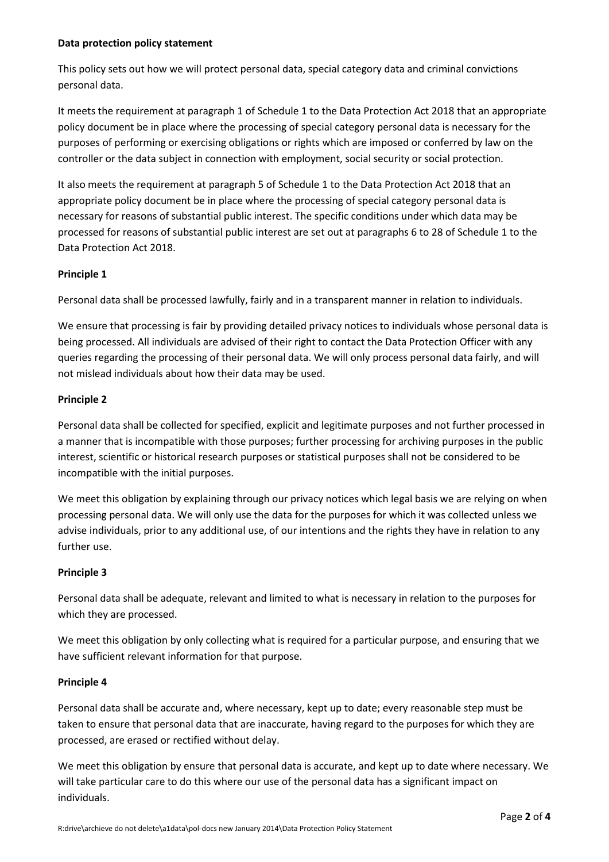#### **Data protection policy statement**

This policy sets out how we will protect personal data, special category data and criminal convictions personal data.

It meets the requirement at paragraph 1 of Schedule 1 to the Data Protection Act 2018 that an appropriate policy document be in place where the processing of special category personal data is necessary for the purposes of performing or exercising obligations or rights which are imposed or conferred by law on the controller or the data subject in connection with employment, social security or social protection.

It also meets the requirement at paragraph 5 of Schedule 1 to the Data Protection Act 2018 that an appropriate policy document be in place where the processing of special category personal data is necessary for reasons of substantial public interest. The specific conditions under which data may be processed for reasons of substantial public interest are set out at paragraphs 6 to 28 of Schedule 1 to the Data Protection Act 2018.

# **Principle 1**

Personal data shall be processed lawfully, fairly and in a transparent manner in relation to individuals.

We ensure that processing is fair by providing detailed privacy notices to individuals whose personal data is being processed. All individuals are advised of their right to contact the Data Protection Officer with any queries regarding the processing of their personal data. We will only process personal data fairly, and will not mislead individuals about how their data may be used.

## **Principle 2**

Personal data shall be collected for specified, explicit and legitimate purposes and not further processed in a manner that is incompatible with those purposes; further processing for archiving purposes in the public interest, scientific or historical research purposes or statistical purposes shall not be considered to be incompatible with the initial purposes.

We meet this obligation by explaining through our privacy notices which legal basis we are relying on when processing personal data. We will only use the data for the purposes for which it was collected unless we advise individuals, prior to any additional use, of our intentions and the rights they have in relation to any further use.

# **Principle 3**

Personal data shall be adequate, relevant and limited to what is necessary in relation to the purposes for which they are processed.

We meet this obligation by only collecting what is required for a particular purpose, and ensuring that we have sufficient relevant information for that purpose.

#### **Principle 4**

Personal data shall be accurate and, where necessary, kept up to date; every reasonable step must be taken to ensure that personal data that are inaccurate, having regard to the purposes for which they are processed, are erased or rectified without delay.

We meet this obligation by ensure that personal data is accurate, and kept up to date where necessary. We will take particular care to do this where our use of the personal data has a significant impact on individuals.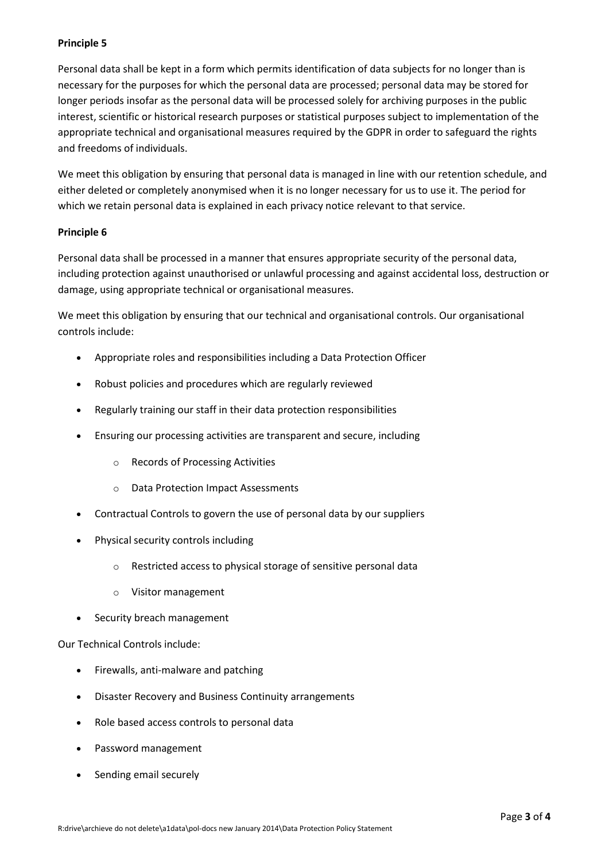## **Principle 5**

Personal data shall be kept in a form which permits identification of data subjects for no longer than is necessary for the purposes for which the personal data are processed; personal data may be stored for longer periods insofar as the personal data will be processed solely for archiving purposes in the public interest, scientific or historical research purposes or statistical purposes subject to implementation of the appropriate technical and organisational measures required by the GDPR in order to safeguard the rights and freedoms of individuals.

We meet this obligation by ensuring that personal data is managed in line with our retention schedule, and either deleted or completely anonymised when it is no longer necessary for us to use it. The period for which we retain personal data is explained in each privacy notice relevant to that service.

#### **Principle 6**

Personal data shall be processed in a manner that ensures appropriate security of the personal data, including protection against unauthorised or unlawful processing and against accidental loss, destruction or damage, using appropriate technical or organisational measures.

We meet this obligation by ensuring that our technical and organisational controls. Our organisational controls include:

- Appropriate roles and responsibilities including a Data Protection Officer
- Robust policies and procedures which are regularly reviewed
- Regularly training our staff in their data protection responsibilities
- Ensuring our processing activities are transparent and secure, including
	- o Records of Processing Activities
	- o Data Protection Impact Assessments
- Contractual Controls to govern the use of personal data by our suppliers
- Physical security controls including
	- o Restricted access to physical storage of sensitive personal data
	- o Visitor management
- Security breach management

Our Technical Controls include:

- Firewalls, anti-malware and patching
- Disaster Recovery and Business Continuity arrangements
- Role based access controls to personal data
- Password management
- Sending email securely